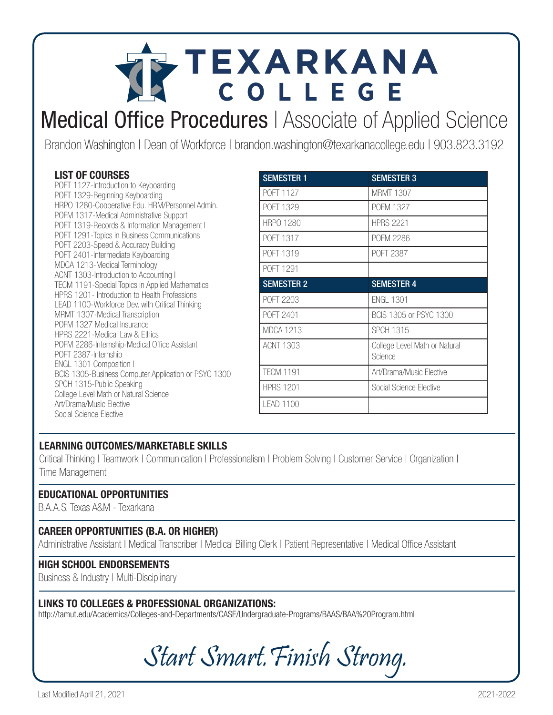# TEXARKANA COLLEGE

### Medical Office Procedures | Associate of Applied Science

Brandon Washington | Dean of Workforce | brandon.washington@texarkanacollege.edu | 903.823.3192

### LIST OF COURSES

POFT 1127-Introduction to Keyboarding POFT 1329-Beginning Keyboarding HRPO 1280-Cooperative Edu. HRM/Personnel Admin. POFM 1317-Medical Administrative Support POFT 1319-Records & Information Management I POFT 1291-Topics in Business Communications POFT 2203-Speed & Accuracy Building POFT 2401-Intermediate Keyboarding MDCA 1213-Medical Terminology ACNT 1303-Introduction to Accounting I TECM 1191-Special Topics in Applied Mathematics HPRS 1201- Introduction to Health Professions LEAD 1100-Workforce Dev. with Critical Thinking MRMT 1307-Medical Transcription POFM 1327 Medical Insurance HPRS 2221-Medical Law & Ethics POFM 2286-Internship-Medical Office Assistant POFT 2387-Internship ENGL 1301 Composition I BCIS 1305-Business Computer Application or PSYC 1300 SPCH 1315-Public Speaking College Level Math or Natural Science Art/Drama/Music Elective Social Science Elective

| <b>SEMESTER 1</b> | <b>SEMESTER 3</b>                        |
|-------------------|------------------------------------------|
| POFT 1127         | <b>MRMT 1307</b>                         |
| <b>POFT 1329</b>  | POFM 1327                                |
| <b>HRPO 1280</b>  | <b>HPRS 2221</b>                         |
| <b>POFT 1317</b>  | <b>POFM 2286</b>                         |
| POFT 1319         | POFT 2387                                |
| POFT 1291         |                                          |
| <b>SEMESTER 2</b> | <b>SEMESTER 4</b>                        |
| POFT 2203         | <b>ENGL 1301</b>                         |
| POFT 2401         | BCIS 1305 or PSYC 1300                   |
| <b>MDCA 1213</b>  | <b>SPCH 1315</b>                         |
| ACNT 1303         | College Level Math or Natural<br>Science |
| <b>TECM 1191</b>  | Art/Drama/Music Elective                 |
| <b>HPRS 1201</b>  | Social Science Elective                  |
| <b>LEAD 1100</b>  |                                          |

### LEARNING OUTCOMES/MARKETABLE SKILLS

Critical Thinking | Teamwork | Communication | Professionalism | Problem Solving | Customer Service | Organization | Time Management

### EDUCATIONAL OPPORTUNITIES

B.A.A.S. Texas A&M - Texarkana

### CAREER OPPORTUNITIES (B.A. OR HIGHER)

Administrative Assistant | Medical Transcriber | Medical Billing Clerk | Patient Representative | Medical Office Assistant

#### HIGH SCHOOL ENDORSEMENTS

Business & Industry | Multi-Disciplinary

#### LINKS TO COLLEGES & PROFESSIONAL ORGANIZATIONS:

http://tamut.edu/Academics/Colleges-and-Departments/CASE/Undergraduate-Programs/BAAS/BAA%20Program.html

Start Smart.Finish Strong.